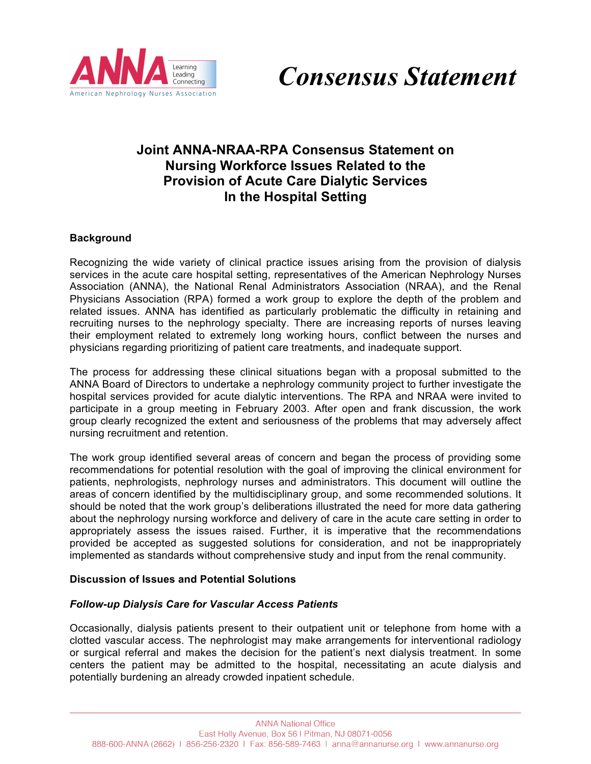



# **Joint ANNA-NRAA-RPA Consensus Statement on Nursing Workforce Issues Related to the Provision of Acute Care Dialytic Services In the Hospital Setting**

## **Background**

Recognizing the wide variety of clinical practice issues arising from the provision of dialysis services in the acute care hospital setting, representatives of the American Nephrology Nurses Association (ANNA), the National Renal Administrators Association (NRAA), and the Renal Physicians Association (RPA) formed a work group to explore the depth of the problem and related issues. ANNA has identified as particularly problematic the difficulty in retaining and recruiting nurses to the nephrology specialty. There are increasing reports of nurses leaving their employment related to extremely long working hours, conflict between the nurses and physicians regarding prioritizing of patient care treatments, and inadequate support.

The process for addressing these clinical situations began with a proposal submitted to the ANNA Board of Directors to undertake a nephrology community project to further investigate the hospital services provided for acute dialytic interventions. The RPA and NRAA were invited to participate in a group meeting in February 2003. After open and frank discussion, the work group clearly recognized the extent and seriousness of the problems that may adversely affect nursing recruitment and retention.

The work group identified several areas of concern and began the process of providing some recommendations for potential resolution with the goal of improving the clinical environment for patients, nephrologists, nephrology nurses and administrators. This document will outline the areas of concern identified by the multidisciplinary group, and some recommended solutions. It should be noted that the work group's deliberations illustrated the need for more data gathering about the nephrology nursing workforce and delivery of care in the acute care setting in order to appropriately assess the issues raised. Further, it is imperative that the recommendations provided be accepted as suggested solutions for consideration, and not be inappropriately implemented as standards without comprehensive study and input from the renal community.

#### **Discussion of Issues and Potential Solutions**

#### *Follow-up Dialysis Care for Vascular Access Patients*

Occasionally, dialysis patients present to their outpatient unit or telephone from home with a clotted vascular access. The nephrologist may make arrangements for interventional radiology or surgical referral and makes the decision for the patient's next dialysis treatment. In some centers the patient may be admitted to the hospital, necessitating an acute dialysis and potentially burdening an already crowded inpatient schedule.